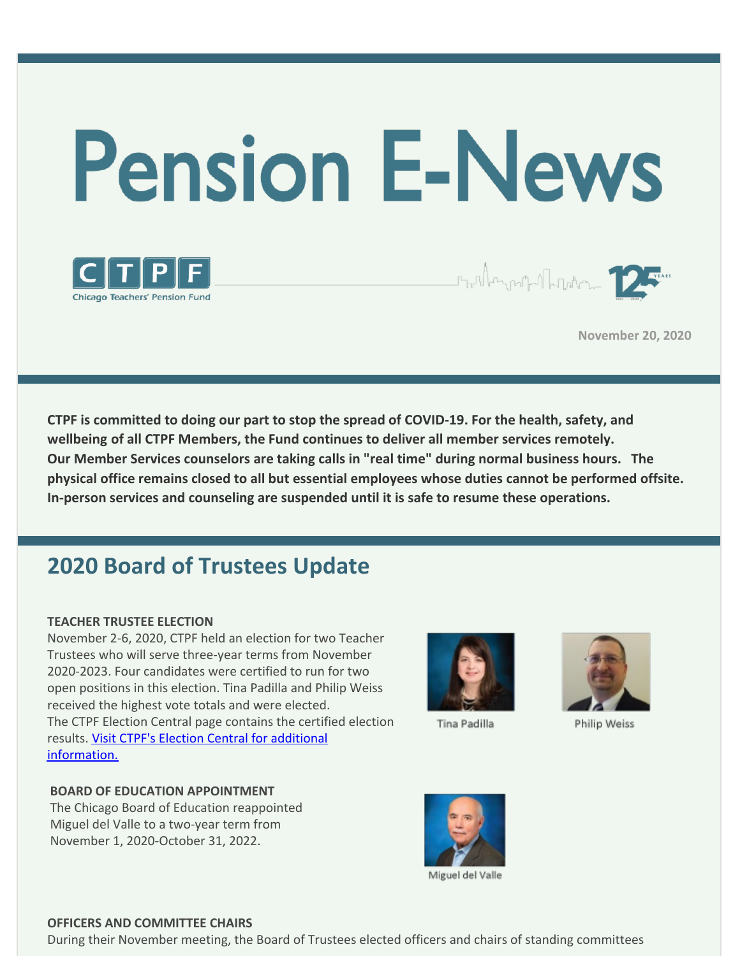



**November 20, 2020**

**CTPF is committed to doing our part to stop the spread of COVID-19. For the health, safety, and wellbeing of all CTPF Members, the Fund continues to deliver all member services remotely. Our Member Services counselors are taking calls in "real time" during normal business hours. The physical office remains closed to all but essential employees whose duties cannot be performed offsite. In-person services and counseling are suspended until it is safe to resume these operations.**

# **2020 Board of Trustees Update**

### **TEACHER TRUSTEE ELECTION**

November 2-6, 2020, CTPF held an election for two Teacher Trustees who will serve three-year terms from November 2020-2023. Four candidates were certified to run for two open positions in this election. Tina Padilla and Philip Weiss received the highest vote totals and were elected. The CTPF Election Central page contains the certified election results. Visit CTPF's Election Central for additional [information.](https://www.ctpf.org/2020-election-central)



Tina Padilla



Philip Weiss

### **BOARD OF EDUCATION APPOINTMENT**

The Chicago Board of Education reappointed Miguel del Valle to a two-year term from November 1, 2020-October 31, 2022.



### **OFFICERS AND COMMITTEE CHAIRS**

During their November meeting, the Board of Trustees elected officers and chairs of standing committees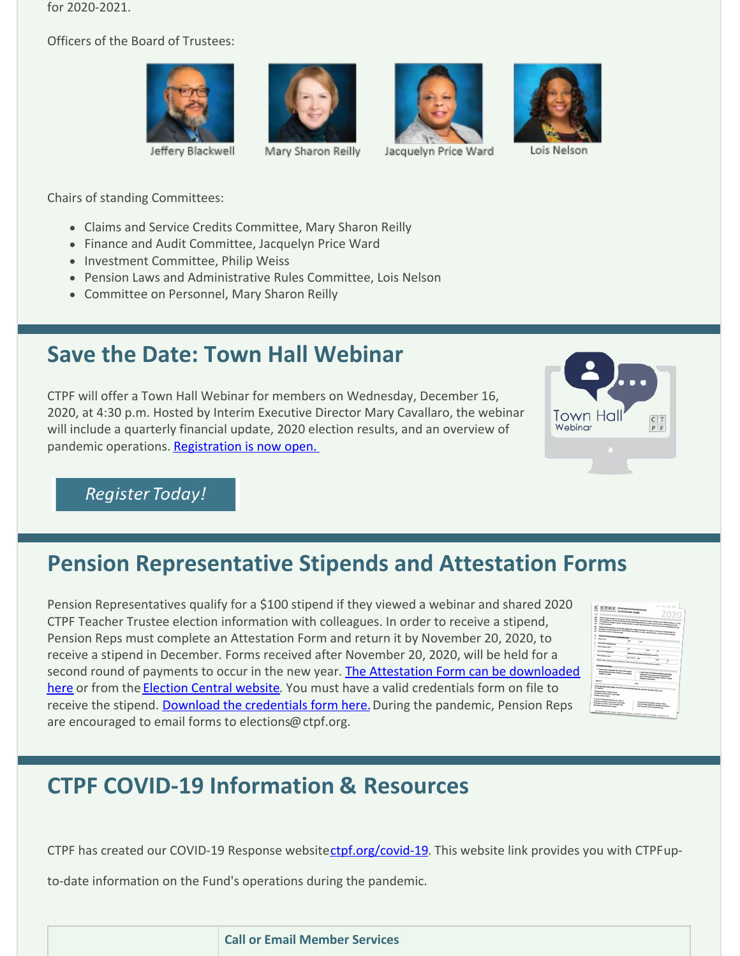for 2020-2021.

Officers of the Board of Trustees:









Jeffery Blackwell

Mary Sharon Reilly

Jacquelyn Price Ward

Chairs of standing Committees:

- Claims and Service Credits Committee, Mary Sharon Reilly
- Finance and Audit Committee, Jacquelyn Price Ward
- Investment Committee, Philip Weiss
- Pension Laws and Administrative Rules Committee, Lois Nelson
- Committee on Personnel, Mary Sharon Reilly

## **Save the Date: Town Hall Webinar**

CTPF will offer a Town Hall Webinar for members on Wednesday, December 16, 2020, at 4:30 p.m. Hosted by Interim Executive Director Mary Cavallaro, the webinar will include a quarterly financial update, 2020 election results, and an overview of pandemic operations. [Registration](https://ctpf.zoom.us/webinar/register/WN_rBz9ouPbTaaMRBxfU748Nw) is now open.





## **Pension Representative Stipends and Attestation Forms**

Pension Representatives qualify for a \$100 stipend if they viewed a webinar and shared 2020 CTPF Teacher Trustee election information with colleagues. In order to receive a stipend, Pension Reps must complete an Attestation Form and return it by November 20, 2020, to receive a stipend in December. Forms received after November 20, 2020, will be held for a second round of payments to occur in the new year. The Attestation Form can be [downloaded](https://www.ctpf.org/sites/main/files/file-attachments/pension_rep_attestation_form_final.pdf) here or from the [Election](https://www.ctpf.org/2020-election-central) Central website. You must have a valid credentials form on file to receive the stipend. Download the [credentials](https://www.ctpf.org/sites/main/files/file-attachments/2020_credentials_form_final.pdf) form here. During the pandemic, Pension Reps are encouraged to email forms to elections@ctpf.org.

| $\epsilon$<br>C T P F PINSON ASPRESENTATIVE<br>ATTESTATION FORM           |                        | COL COLLA                                                                                                                                                                                                                  |
|---------------------------------------------------------------------------|------------------------|----------------------------------------------------------------------------------------------------------------------------------------------------------------------------------------------------------------------------|
| m                                                                         |                        |                                                                                                                                                                                                                            |
| <b>Second</b>                                                             |                        |                                                                                                                                                                                                                            |
| w                                                                         |                        |                                                                                                                                                                                                                            |
| m                                                                         |                        | Project degrees markets will be an a 100 for attending transmit the starting and interests on African October 20, 24 kg                                                                                                    |
| ARK                                                                       |                        | and an additional 230 for distributing electron and sched materials is then reflects entitle resoluting the Josep                                                                                                          |
|                                                                           |                        | close based of framest Sunday Sunday Dental, Penniss Reproductivity will written (ACOst enrophistic SA) and                                                                                                                |
| u<br>u                                                                    |                        | Please release this form to (200 HS) (402)8 than Krider, Monitority 24, 24th, to writing your Highest Chack in<br>Encourage all attentions forms record any tenureber in, 1914, will be held for a second recept of expend |
|                                                                           |                        |                                                                                                                                                                                                                            |
| <b>POSSON ROYALSERSENT INFORMATIONS</b>                                   |                        |                                                                                                                                                                                                                            |
| <b>New Ave</b>                                                            |                        |                                                                                                                                                                                                                            |
|                                                                           | w.                     | base.                                                                                                                                                                                                                      |
| <b>Most fans (Commonly)</b>                                               |                        |                                                                                                                                                                                                                            |
| <b><i><u>Advertising</u></i></b> Sepa                                     |                        |                                                                                                                                                                                                                            |
|                                                                           | w                      |                                                                                                                                                                                                                            |
| <b><i><u>STATISTICS</u></i></b>                                           |                        |                                                                                                                                                                                                                            |
| Home Address House                                                        | <b>Made Point Inc.</b> | <b>Electricians</b>                                                                                                                                                                                                        |
|                                                                           | <b>Massen</b>          | -                                                                                                                                                                                                                          |
|                                                                           |                        |                                                                                                                                                                                                                            |
|                                                                           |                        | TOOL Digest deals wit be maketing partitions. Please state year for noter and hand address                                                                                                                                 |
| Alexandrations                                                            |                        |                                                                                                                                                                                                                            |
| C 1-store that I planded the DSA (100 Persian                             |                        |                                                                                                                                                                                                                            |
| Aspressed all on Election Units base an or belong                         |                        | I I shot the relationst states and solar                                                                                                                                                                                   |
| Oslebar 24, Januar                                                        |                        | <b>Riderials in my wheel and conductor the</b>                                                                                                                                                                             |
|                                                                           |                        | <b>New crew deared of insurance incident insurance</b><br><b>Piecher in the school</b>                                                                                                                                     |
| <b>Space</b>                                                              |                        |                                                                                                                                                                                                                            |
|                                                                           |                        | <b>Chair</b>                                                                                                                                                                                                               |
|                                                                           |                        |                                                                                                                                                                                                                            |
|                                                                           |                        | Pines (CTARK THIS FORM on and is presidented to provide to the N SD Art, This, or wa                                                                                                                                       |
| <b>Children Boschwart Promission Process</b>                              |                        |                                                                                                                                                                                                                            |
| 201 worth Levels Dewer, Julie (1900)<br>shipp, dask steel                 |                        |                                                                                                                                                                                                                            |
|                                                                           |                        |                                                                                                                                                                                                                            |
| If you are maing the facts via k.t. Mail, it                              |                        |                                                                                                                                                                                                                            |
| met be wested by 7.00 p.m.27) on trajes                                   |                        | If you have pre-pumpling, please spages                                                                                                                                                                                    |
| Noumber 24, 2018, for he included in the<br><b>Dennis Hond Po 3 mains</b> |                        | Level Hondy, Topervisor, Member Education<br>and Customic Jerry Company (Public Service)                                                                                                                                   |
|                                                                           |                        |                                                                                                                                                                                                                            |

# **CTPF COVID-19 Information & Resources**

CTPF has created our COVID-19 Response website[ctpf.org/covid-19](http://ctpf.org/covid-19). This website link provides you with CTPFup-

to-date information on the Fund's operations during the pandemic.

**Call or Email Member Services**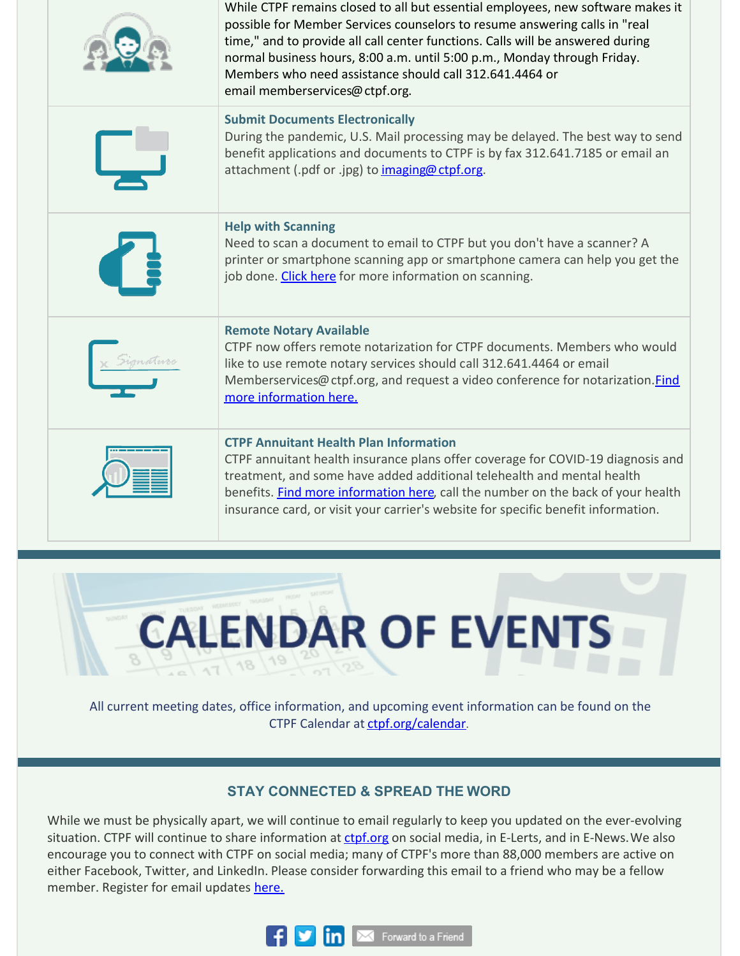|  | While CTPF remains closed to all but essential employees, new software makes it<br>possible for Member Services counselors to resume answering calls in "real<br>time," and to provide all call center functions. Calls will be answered during<br>normal business hours, 8:00 a.m. until 5:00 p.m., Monday through Friday.<br>Members who need assistance should call 312.641.4464 or<br>email memberservices@ctpf.org. |
|--|--------------------------------------------------------------------------------------------------------------------------------------------------------------------------------------------------------------------------------------------------------------------------------------------------------------------------------------------------------------------------------------------------------------------------|
|  | <b>Submit Documents Electronically</b><br>During the pandemic, U.S. Mail processing may be delayed. The best way to send<br>benefit applications and documents to CTPF is by fax 312.641.7185 or email an<br>attachment (.pdf or .jpg) to imaging@ ctpf.org.                                                                                                                                                             |
|  | <b>Help with Scanning</b><br>Need to scan a document to email to CTPF but you don't have a scanner? A<br>printer or smartphone scanning app or smartphone camera can help you get the<br>job done. Click here for more information on scanning.                                                                                                                                                                          |
|  | <b>Remote Notary Available</b><br>CTPF now offers remote notarization for CTPF documents. Members who would<br>like to use remote notary services should call 312.641.4464 or email<br>Memberservices@ctpf.org, and request a video conference for notarization. Find<br>more information here.                                                                                                                          |
|  | <b>CTPF Annuitant Health Plan Information</b><br>CTPF annuitant health insurance plans offer coverage for COVID-19 diagnosis and<br>treatment, and some have added additional telehealth and mental health<br>benefits. Find more information here, call the number on the back of your health<br>insurance card, or visit your carrier's website for specific benefit information.                                      |



All current meeting dates, office information, and upcoming event information can be found on the CTPF Calendar at [ctpf.org/calendar](http://www.ctpf.org/calendar).

### **STAY CONNECTED & SPREAD THE WORD**

While we must be physically apart, we will continue to email regularly to keep you updated on the ever-evolving situation. CTPF will continue to share information at [ctpf.org](http://ctpf.org) on social media, in E-Lerts, and in E-News. We also encourage you to connect with CTPF on social media; many of CTPF's more than 88,000 members are active on either Facebook, Twitter, and LinkedIn. Please consider forwarding this email to a friend who may be a fellow member. Register for email updates [here.](https://www.ctpf.org/)